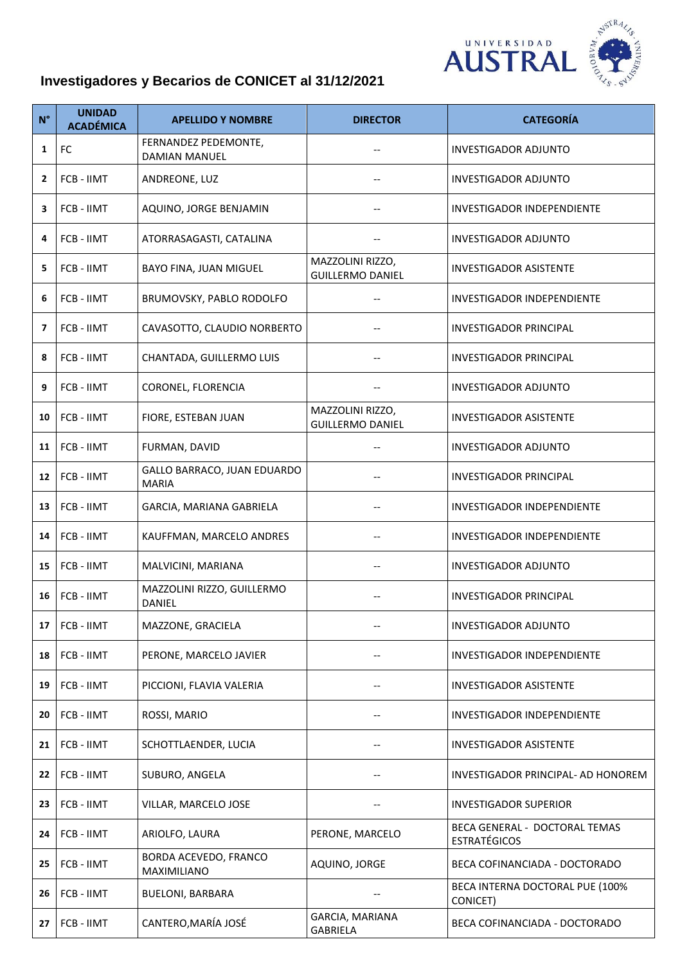

## **Investigadores y Becarios de CONICET al 31/12/2021**

| $N^{\circ}$    | <b>UNIDAD</b><br><b>ACADÉMICA</b> | <b>APELLIDO Y NOMBRE</b>                    | <b>DIRECTOR</b>                             | <b>CATEGORÍA</b>                                     |
|----------------|-----------------------------------|---------------------------------------------|---------------------------------------------|------------------------------------------------------|
| 1              | FC                                | FERNANDEZ PEDEMONTE,<br>DAMIAN MANUEL       | $\overline{\phantom{a}}$                    | <b>INVESTIGADOR ADJUNTO</b>                          |
| $\overline{2}$ | FCB - IIMT                        | ANDREONE, LUZ                               |                                             | <b>INVESTIGADOR ADJUNTO</b>                          |
| 3              | FCB - IIMT                        | AQUINO, JORGE BENJAMIN                      |                                             | INVESTIGADOR INDEPENDIENTE                           |
| 4              | FCB - IIMT                        | ATORRASAGASTI, CATALINA                     |                                             | <b>INVESTIGADOR ADJUNTO</b>                          |
| 5              | FCB - IIMT                        | BAYO FINA, JUAN MIGUEL                      | MAZZOLINI RIZZO,<br><b>GUILLERMO DANIEL</b> | <b>INVESTIGADOR ASISTENTE</b>                        |
| 6              | FCB - IIMT                        | BRUMOVSKY, PABLO RODOLFO                    |                                             | INVESTIGADOR INDEPENDIENTE                           |
| 7              | <b>FCB - IIMT</b>                 | CAVASOTTO, CLAUDIO NORBERTO                 | $\overline{\phantom{a}}$                    | INVESTIGADOR PRINCIPAL                               |
| 8              | FCB - IIMT                        | CHANTADA, GUILLERMO LUIS                    |                                             | <b>INVESTIGADOR PRINCIPAL</b>                        |
| 9              | FCB - IIMT                        | CORONEL, FLORENCIA                          |                                             | INVESTIGADOR ADJUNTO                                 |
| 10             | <b>FCB - IIMT</b>                 | FIORE, ESTEBAN JUAN                         | MAZZOLINI RIZZO,<br><b>GUILLERMO DANIEL</b> | <b>INVESTIGADOR ASISTENTE</b>                        |
| 11             | FCB - IIMT                        | FURMAN, DAVID                               |                                             | <b>INVESTIGADOR ADJUNTO</b>                          |
| 12             | FCB - IIMT                        | GALLO BARRACO, JUAN EDUARDO<br><b>MARIA</b> |                                             | INVESTIGADOR PRINCIPAL                               |
| 13             | FCB - IIMT                        | GARCIA, MARIANA GABRIELA                    | $\hspace{0.05cm}$ $\hspace{0.05cm}$         | INVESTIGADOR INDEPENDIENTE                           |
| 14             | FCB - IIMT                        | KAUFFMAN, MARCELO ANDRES                    |                                             | <b>INVESTIGADOR INDEPENDIENTE</b>                    |
| 15             | FCB - IIMT                        | MALVICINI, MARIANA                          |                                             | INVESTIGADOR ADJUNTO                                 |
| 16             | FCB - IIMT                        | MAZZOLINI RIZZO, GUILLERMO<br>DANIEL        |                                             | <b>INVESTIGADOR PRINCIPAL</b>                        |
| 17             | FCB - IIMT                        | MAZZONE, GRACIELA                           |                                             | <b>INVESTIGADOR ADJUNTO</b>                          |
| 18             | FCB - IIMT                        | PERONE, MARCELO JAVIER                      |                                             | <b>INVESTIGADOR INDEPENDIENTE</b>                    |
| 19             | FCB - IIMT                        | PICCIONI, FLAVIA VALERIA                    |                                             | <b>INVESTIGADOR ASISTENTE</b>                        |
| 20             | FCB - IIMT                        | ROSSI, MARIO                                |                                             | <b>INVESTIGADOR INDEPENDIENTE</b>                    |
| 21             | FCB - IIMT                        | SCHOTTLAENDER, LUCIA                        |                                             | <b>INVESTIGADOR ASISTENTE</b>                        |
| 22             | FCB - IIMT                        | SUBURO, ANGELA                              | $\qquad \qquad -$                           | INVESTIGADOR PRINCIPAL- AD HONOREM                   |
| 23             | FCB - IIMT                        | VILLAR, MARCELO JOSE                        | $\overline{\phantom{a}}$                    | <b>INVESTIGADOR SUPERIOR</b>                         |
| 24             | FCB - IIMT                        | ARIOLFO, LAURA                              | PERONE, MARCELO                             | BECA GENERAL - DOCTORAL TEMAS<br><b>ESTRATÉGICOS</b> |
| 25             | FCB - IIMT                        | BORDA ACEVEDO, FRANCO<br>MAXIMILIANO        | AQUINO, JORGE                               | BECA COFINANCIADA - DOCTORADO                        |
| 26             | FCB - IIMT                        | <b>BUELONI, BARBARA</b>                     |                                             | BECA INTERNA DOCTORAL PUE (100%<br>CONICET)          |
| 27             | FCB - IIMT                        | CANTERO, MARÍA JOSÉ                         | GARCIA, MARIANA<br><b>GABRIELA</b>          | BECA COFINANCIADA - DOCTORADO                        |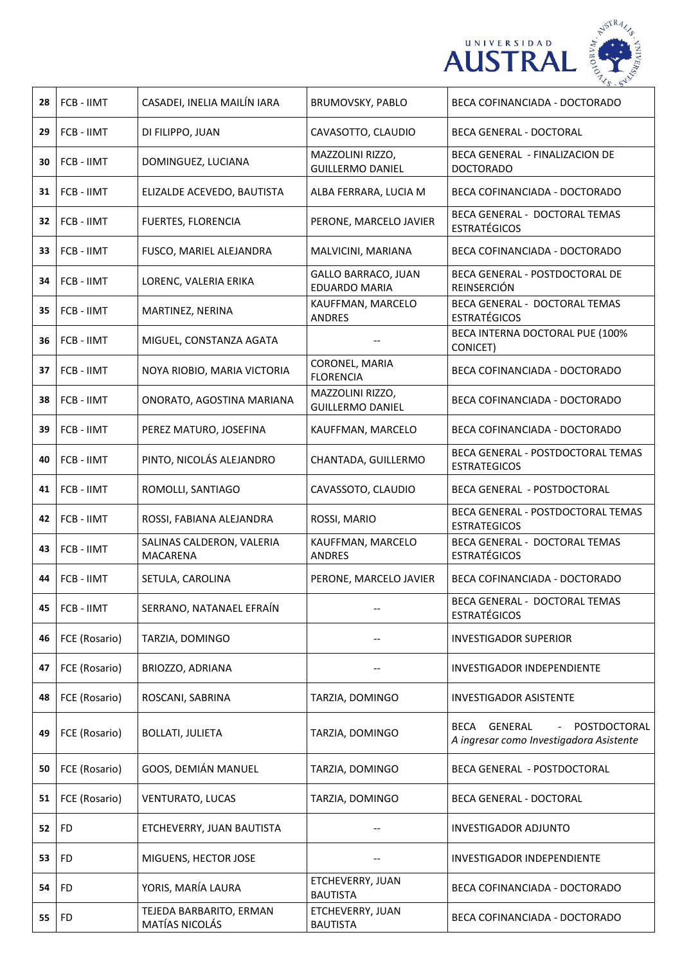

| 28 | FCB - IIMT    | CASADEI, INELIA MAILÍN IARA               | BRUMOVSKY, PABLO                                   | BECA COFINANCIADA - DOCTORADO                                                                |
|----|---------------|-------------------------------------------|----------------------------------------------------|----------------------------------------------------------------------------------------------|
| 29 | FCB - IIMT    | DI FILIPPO, JUAN                          | CAVASOTTO, CLAUDIO                                 | <b>BECA GENERAL - DOCTORAL</b>                                                               |
| 30 | FCB - IIMT    | DOMINGUEZ, LUCIANA                        | MAZZOLINI RIZZO,<br><b>GUILLERMO DANIEL</b>        | BECA GENERAL - FINALIZACION DE<br><b>DOCTORADO</b>                                           |
| 31 | FCB - IIMT    | ELIZALDE ACEVEDO, BAUTISTA                | ALBA FERRARA, LUCIA M                              | BECA COFINANCIADA - DOCTORADO                                                                |
| 32 | FCB - IIMT    | FUERTES, FLORENCIA                        | PERONE, MARCELO JAVIER                             | BECA GENERAL - DOCTORAL TEMAS<br><b>ESTRATÉGICOS</b>                                         |
| 33 | FCB - IIMT    | FUSCO, MARIEL ALEJANDRA                   | MALVICINI, MARIANA                                 | BECA COFINANCIADA - DOCTORADO                                                                |
| 34 | FCB - IIMT    | LORENC, VALERIA ERIKA                     | <b>GALLO BARRACO, JUAN</b><br><b>EDUARDO MARIA</b> | BECA GENERAL - POSTDOCTORAL DE<br>REINSERCIÓN                                                |
| 35 | FCB - IIMT    | MARTINEZ, NERINA                          | KAUFFMAN, MARCELO<br>ANDRES                        | BECA GENERAL - DOCTORAL TEMAS<br><b>ESTRATÉGICOS</b>                                         |
| 36 | FCB - IIMT    | MIGUEL, CONSTANZA AGATA                   | --                                                 | BECA INTERNA DOCTORAL PUE (100%<br>CONICET)                                                  |
| 37 | FCB - IIMT    | NOYA RIOBIO, MARIA VICTORIA               | CORONEL, MARIA<br><b>FLORENCIA</b>                 | BECA COFINANCIADA - DOCTORADO                                                                |
| 38 | FCB - IIMT    | ONORATO, AGOSTINA MARIANA                 | MAZZOLINI RIZZO,<br><b>GUILLERMO DANIEL</b>        | BECA COFINANCIADA - DOCTORADO                                                                |
| 39 | FCB - IIMT    | PEREZ MATURO, JOSEFINA                    | KAUFFMAN, MARCELO                                  | BECA COFINANCIADA - DOCTORADO                                                                |
| 40 | FCB - IIMT    | PINTO, NICOLÁS ALEJANDRO                  | CHANTADA, GUILLERMO                                | BECA GENERAL - POSTDOCTORAL TEMAS<br><b>ESTRATEGICOS</b>                                     |
| 41 | FCB - IIMT    | ROMOLLI, SANTIAGO                         | CAVASSOTO, CLAUDIO                                 | BECA GENERAL - POSTDOCTORAL                                                                  |
| 42 | FCB - IIMT    | ROSSI, FABIANA ALEJANDRA                  | ROSSI, MARIO                                       | BECA GENERAL - POSTDOCTORAL TEMAS<br><b>ESTRATEGICOS</b>                                     |
| 43 | FCB - IIMT    | SALINAS CALDERON, VALERIA<br>MACARENA     | KAUFFMAN, MARCELO<br><b>ANDRES</b>                 | BECA GENERAL - DOCTORAL TEMAS<br><b>ESTRATÉGICOS</b>                                         |
| 44 | FCB - IIMT    | SETULA, CAROLINA                          | PERONE, MARCELO JAVIER                             | BECA COFINANCIADA - DOCTORADO                                                                |
| 45 | FCB - IIMT    | SERRANO, NATANAEL EFRAÍN                  |                                                    | BECA GENERAL - DOCTORAL TEMAS<br><b>ESTRATÉGICOS</b>                                         |
| 46 | FCE (Rosario) | TARZIA, DOMINGO                           |                                                    | <b>INVESTIGADOR SUPERIOR</b>                                                                 |
| 47 | FCE (Rosario) | BRIOZZO, ADRIANA                          |                                                    | <b>INVESTIGADOR INDEPENDIENTE</b>                                                            |
| 48 | FCE (Rosario) | ROSCANI, SABRINA                          | TARZIA, DOMINGO                                    | <b>INVESTIGADOR ASISTENTE</b>                                                                |
| 49 | FCE (Rosario) | <b>BOLLATI, JULIETA</b>                   | TARZIA, DOMINGO                                    | GENERAL<br>POSTDOCTORAL<br>BECA<br>$\blacksquare$<br>A ingresar como Investigadora Asistente |
| 50 | FCE (Rosario) | GOOS, DEMIÁN MANUEL                       | TARZIA, DOMINGO                                    | BECA GENERAL - POSTDOCTORAL                                                                  |
| 51 | FCE (Rosario) | VENTURATO, LUCAS                          | TARZIA, DOMINGO                                    | <b>BECA GENERAL - DOCTORAL</b>                                                               |
| 52 | FD            | ETCHEVERRY, JUAN BAUTISTA                 |                                                    | <b>INVESTIGADOR ADJUNTO</b>                                                                  |
| 53 | FD            | MIGUENS, HECTOR JOSE                      |                                                    | INVESTIGADOR INDEPENDIENTE                                                                   |
| 54 | FD            | YORIS, MARÍA LAURA                        | ETCHEVERRY, JUAN<br><b>BAUTISTA</b>                | BECA COFINANCIADA - DOCTORADO                                                                |
| 55 | FD            | TEJEDA BARBARITO, ERMAN<br>MATÍAS NICOLÁS | ETCHEVERRY, JUAN<br><b>BAUTISTA</b>                | BECA COFINANCIADA - DOCTORADO                                                                |